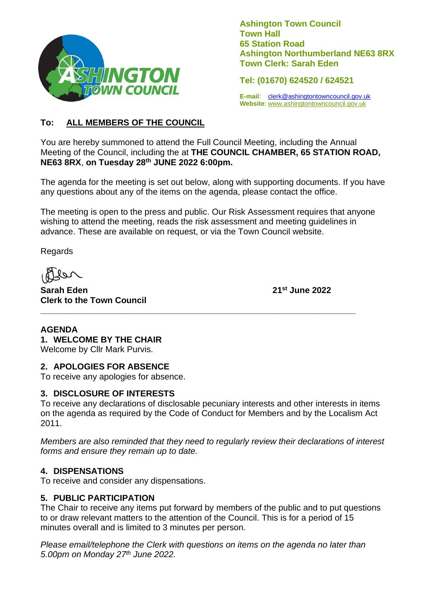

**Ashington Town Council Town Hall 65 Station Road Ashington Northumberland NE63 8RX Town Clerk: Sarah Eden**

**Tel: (01670) 624520 / 624521**

**E-mail**: [clerk@ashingtontowncouncil.gov.uk](mailto:clerk@ashingtontowncouncil.gov.uk) **Website**: www.ashingtontowncouncil.gov.uk

#### **To: ALL MEMBERS OF THE COUNCIL**

You are hereby summoned to attend the Full Council Meeting, including the Annual Meeting of the Council, including the at **THE COUNCIL CHAMBER, 65 STATION ROAD, NE63 8RX**, **on Tuesday 28th JUNE 2022 6:00pm.**

The agenda for the meeting is set out below, along with supporting documents. If you have any questions about any of the items on the agenda, please contact the office.

The meeting is open to the press and public. Our Risk Assessment requires that anyone wishing to attend the meeting, reads the risk assessment and meeting guidelines in advance. These are available on request, or via the Town Council website.

**\_\_\_\_\_\_\_\_\_\_\_\_\_\_\_\_\_\_\_\_\_\_\_\_\_\_\_\_\_\_\_\_\_\_\_\_\_\_\_\_\_\_\_\_\_\_\_\_\_\_\_\_\_\_\_\_\_\_\_\_\_\_\_\_\_\_**

Regards

**Sarah Eden 21st June 2022 Clerk to the Town Council**

# **AGENDA 1. WELCOME BY THE CHAIR**

Welcome by Cllr Mark Purvis.

#### **2. APOLOGIES FOR ABSENCE**

To receive any apologies for absence.

#### **3. DISCLOSURE OF INTERESTS**

To receive any declarations of disclosable pecuniary interests and other interests in items on the agenda as required by the Code of Conduct for Members and by the Localism Act 2011.

*Members are also reminded that they need to regularly review their declarations of interest forms and ensure they remain up to date.*

#### **4. DISPENSATIONS**

To receive and consider any dispensations.

#### **5. PUBLIC PARTICIPATION**

The Chair to receive any items put forward by members of the public and to put questions to or draw relevant matters to the attention of the Council. This is for a period of 15 minutes overall and is limited to 3 minutes per person.

*Please email/telephone the Clerk with questions on items on the agenda no later than 5.00pm on Monday 27th June 2022.*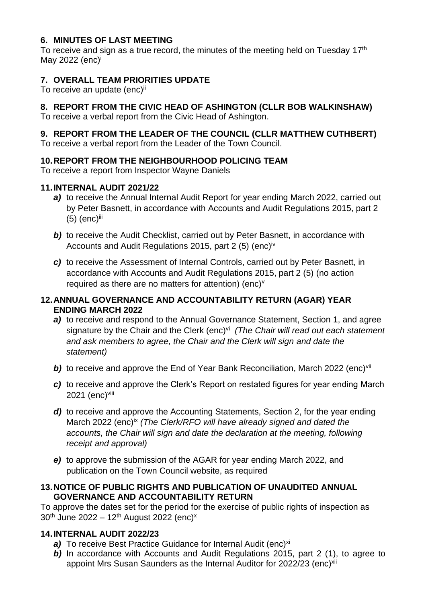#### **6. MINUTES OF LAST MEETING**

To receive and sign as a true record, the minutes of the meeting held on Tuesday 17<sup>th</sup> May 2022  $(enc)^i$ 

# **7. OVERALL TEAM PRIORITIES UPDATE**

To receive an update (enc)<sup>ii</sup>

# **8. REPORT FROM THE CIVIC HEAD OF ASHINGTON (CLLR BOB WALKINSHAW)**

To receive a verbal report from the Civic Head of Ashington.

# **9. REPORT FROM THE LEADER OF THE COUNCIL (CLLR MATTHEW CUTHBERT)**

To receive a verbal report from the Leader of the Town Council.

# **10.REPORT FROM THE NEIGHBOURHOOD POLICING TEAM**

To receive a report from Inspector Wayne Daniels

#### **11.INTERNAL AUDIT 2021/22**

- *a)* to receive the Annual Internal Audit Report for year ending March 2022, carried out by Peter Basnett, in accordance with Accounts and Audit Regulations 2015, part 2  $(5)$  (enc)<sup>iii</sup>
- **b)** to receive the Audit Checklist, carried out by Peter Basnett, in accordance with Accounts and Audit Regulations 2015, part 2 (5) (enc)iv
- *c)* to receive the Assessment of Internal Controls, carried out by Peter Basnett, in accordance with Accounts and Audit Regulations 2015, part 2 (5) (no action required as there are no matters for attention) (enc) $v$

#### **12.ANNUAL GOVERNANCE AND ACCOUNTABILITY RETURN (AGAR) YEAR ENDING MARCH 2022**

- *a)* to receive and respond to the Annual Governance Statement, Section 1, and agree signature by the Chair and the Clerk (enc)<sup>vi</sup> (The Chair will read out each statement *and ask members to agree, the Chair and the Clerk will sign and date the statement)*
- **b)** to receive and approve the End of Year Bank Reconciliation, March 2022 (enc)<sup>vii</sup>
- *c)* to receive and approve the Clerk's Report on restated figures for year ending March 2021 (enc)<sup>viii</sup>
- d) to receive and approve the Accounting Statements, Section 2, for the year ending March 2022 (enc)<sup>ix</sup> *(The Clerk/RFO will have already signed and dated the accounts, the Chair will sign and date the declaration at the meeting, following receipt and approval)*
- *e)* to approve the submission of the AGAR for year ending March 2022, and publication on the Town Council website, as required

#### **13.NOTICE OF PUBLIC RIGHTS AND PUBLICATION OF UNAUDITED ANNUAL GOVERNANCE AND ACCOUNTABILITY RETURN**

To approve the dates set for the period for the exercise of public rights of inspection as 30<sup>th</sup> June 2022 – 12<sup>th</sup> August 2022 (enc)<sup>x</sup>

# **14.INTERNAL AUDIT 2022/23**

- a) To receive Best Practice Guidance for Internal Audit (enc)<sup>xi</sup>
- **b)** In accordance with Accounts and Audit Regulations 2015, part 2 (1), to agree to appoint Mrs Susan Saunders as the Internal Auditor for 2022/23 (enc)xii